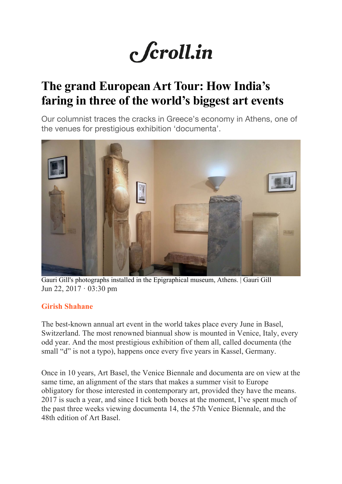# c *f*croll.in

## **The grand European Art Tour: How India's faring in three of the world's biggest art events**

Our columnist traces the cracks in Greece's economy in Athens, one of the venues for prestigious exhibition 'documenta'.



Gauri Gill's photographs installed in the Epigraphical museum, Athens. | Gauri Gill Jun 22,  $2017 \cdot 03:30$  pm

#### **Girish Shahane**

The best-known annual art event in the world takes place every June in Basel, Switzerland. The most renowned biannual show is mounted in Venice, Italy, every odd year. And the most prestigious exhibition of them all, called documenta (the small "d" is not a typo), happens once every five years in Kassel, Germany.

Once in 10 years, Art Basel, the Venice Biennale and documenta are on view at the same time, an alignment of the stars that makes a summer visit to Europe obligatory for those interested in contemporary art, provided they have the means. 2017 is such a year, and since I tick both boxes at the moment, I've spent much of the past three weeks viewing documenta 14, the 57th Venice Biennale, and the 48th edition of Art Basel.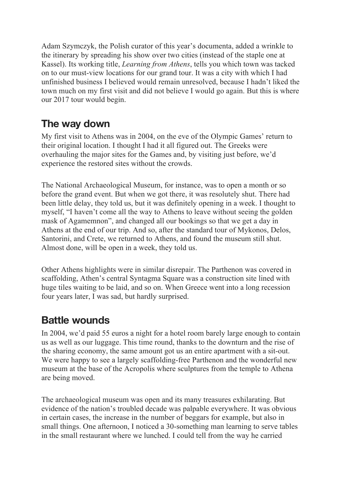Adam Szymczyk, the Polish curator of this year's documenta, added a wrinkle to the itinerary by spreading his show over two cities (instead of the staple one at Kassel). Its working title, *Learning from Athens*, tells you which town was tacked on to our must-view locations for our grand tour. It was a city with which I had unfinished business I believed would remain unresolved, because I hadn't liked the town much on my first visit and did not believe I would go again. But this is where our 2017 tour would begin.

### **The way down**

My first visit to Athens was in 2004, on the eve of the Olympic Games' return to their original location. I thought I had it all figured out. The Greeks were overhauling the major sites for the Games and, by visiting just before, we'd experience the restored sites without the crowds.

The National Archaeological Museum, for instance, was to open a month or so before the grand event. But when we got there, it was resolutely shut. There had been little delay, they told us, but it was definitely opening in a week. I thought to myself, "I haven't come all the way to Athens to leave without seeing the golden mask of Agamemnon", and changed all our bookings so that we get a day in Athens at the end of our trip. And so, after the standard tour of Mykonos, Delos, Santorini, and Crete, we returned to Athens, and found the museum still shut. Almost done, will be open in a week, they told us.

Other Athens highlights were in similar disrepair. The Parthenon was covered in scaffolding, Athen's central Syntagma Square was a construction site lined with huge tiles waiting to be laid, and so on. When Greece went into a long recession four years later, I was sad, but hardly surprised.

#### **Battle wounds**

In 2004, we'd paid 55 euros a night for a hotel room barely large enough to contain us as well as our luggage. This time round, thanks to the downturn and the rise of the sharing economy, the same amount got us an entire apartment with a sit-out. We were happy to see a largely scaffolding-free Parthenon and the wonderful new museum at the base of the Acropolis where sculptures from the temple to Athena are being moved.

The archaeological museum was open and its many treasures exhilarating. But evidence of the nation's troubled decade was palpable everywhere. It was obvious in certain cases, the increase in the number of beggars for example, but also in small things. One afternoon, I noticed a 30-something man learning to serve tables in the small restaurant where we lunched. I could tell from the way he carried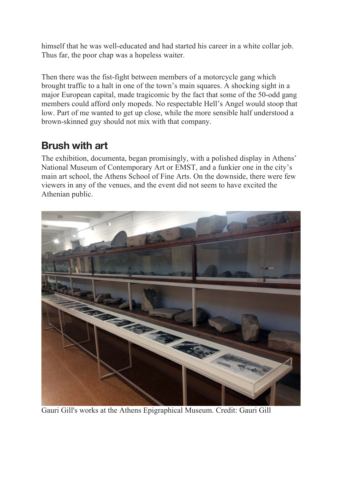himself that he was well-educated and had started his career in a white collar job. Thus far, the poor chap was a hopeless waiter.

Then there was the fist-fight between members of a motorcycle gang which brought traffic to a halt in one of the town's main squares. A shocking sight in a major European capital, made tragicomic by the fact that some of the 50-odd gang members could afford only mopeds. No respectable Hell's Angel would stoop that low. Part of me wanted to get up close, while the more sensible half understood a brown-skinned guy should not mix with that company.

#### **Brush with art**

The exhibition, documenta, began promisingly, with a polished display in Athens' National Museum of Contemporary Art or EMST, and a funkier one in the city's main art school, the Athens School of Fine Arts. On the downside, there were few viewers in any of the venues, and the event did not seem to have excited the Athenian public.



Gauri Gill's works at the Athens Epigraphical Museum. Credit: Gauri Gill